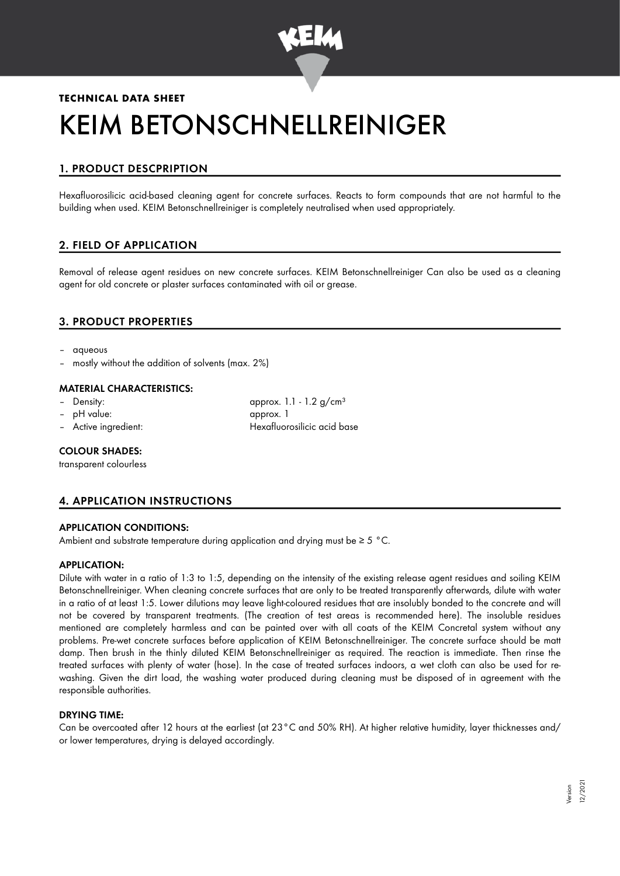

# **TECHNICAL DATA SHEET** KEIM BETONSCHNELLREINIGER

## 1. PRODUCT DESCPRIPTION

Hexafluorosilicic acid-based cleaning agent for concrete surfaces. Reacts to form compounds that are not harmful to the building when used. KEIM Betonschnellreiniger is completely neutralised when used appropriately.

## 2. FIELD OF APPLICATION

Removal of release agent residues on new concrete surfaces. KEIM Betonschnellreiniger Can also be used as a cleaning agent for old concrete or plaster surfaces contaminated with oil or grease.

## 3. PRODUCT PROPERTIES

- aqueous
- mostly without the addition of solvents (max. 2%)

#### MATERIAL CHARACTERISTICS:

- 
- 
- 

Density: Density: approx. 1.1 - 1.2 g/cm<sup>3</sup> – pH value: approx. 1 – Active ingredient: Hexafluorosilicic acid base

#### COLOUR SHADES:

transparent colourless

## 4. APPLICATION INSTRUCTIONS

#### APPLICATION CONDITIONS:

Ambient and substrate temperature during application and drying must be ≥ 5 °C.

#### APPLICATION:

Dilute with water in a ratio of 1:3 to 1:5, depending on the intensity of the existing release agent residues and soiling KEIM Betonschnellreiniger. When cleaning concrete surfaces that are only to be treated transparently afterwards, dilute with water in a ratio of at least 1:5. Lower dilutions may leave light-coloured residues that are insolubly bonded to the concrete and will not be covered by transparent treatments. (The creation of test areas is recommended here). The insoluble residues mentioned are completely harmless and can be painted over with all coats of the KEIM Concretal system without any problems. Pre-wet concrete surfaces before application of KEIM Betonschnellreiniger. The concrete surface should be matt damp. Then brush in the thinly diluted KEIM Betonschnellreiniger as required. The reaction is immediate. Then rinse the treated surfaces with plenty of water (hose). In the case of treated surfaces indoors, a wet cloth can also be used for rewashing. Given the dirt load, the washing water produced during cleaning must be disposed of in agreement with the responsible authorities.

#### DRYING TIME:

Can be overcoated after 12 hours at the earliest (at 23°C and 50% RH). At higher relative humidity, layer thicknesses and/ or lower temperatures, drying is delayed accordingly.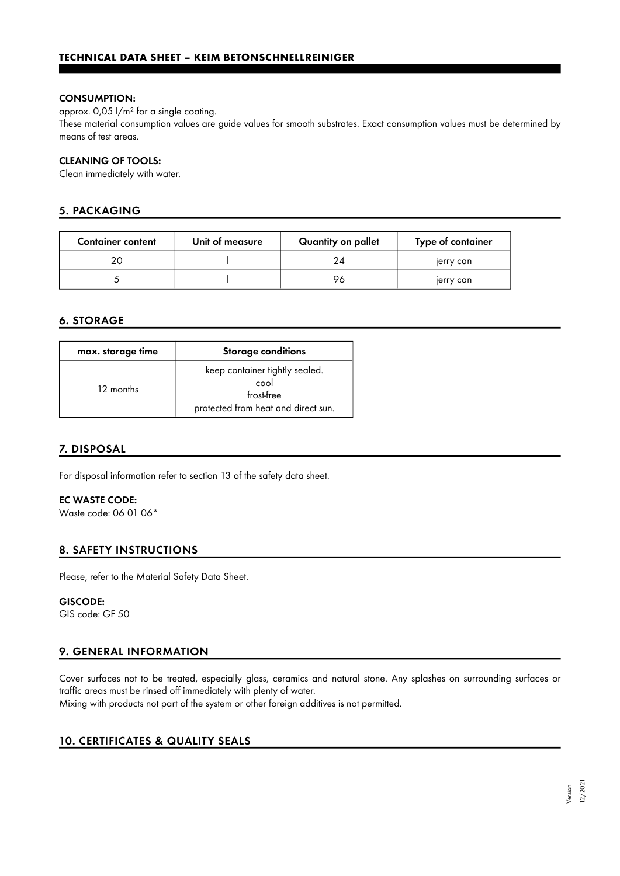#### CONSUMPTION:

approx. 0,05 l/m² for a single coating.

These material consumption values are guide values for smooth substrates. Exact consumption values must be determined by means of test areas.

#### CLEANING OF TOOLS:

Clean immediately with water.

## 5. PACKAGING

| <b>Container content</b> | Unit of measure | Quantity on pallet | Type of container |
|--------------------------|-----------------|--------------------|-------------------|
|                          |                 | 24                 | jerry can         |
|                          |                 | 96                 | jerry can         |

## 6. STORAGE

| max. storage time | <b>Storage conditions</b>                                                                   |
|-------------------|---------------------------------------------------------------------------------------------|
| 12 months         | keep container tightly sealed.<br>cool<br>frost-free<br>protected from heat and direct sun. |

#### 7. DISPOSAL

For disposal information refer to section 13 of the safety data sheet.

### EC WASTE CODE:

Waste code: 06 01 06\*

#### 8. SAFETY INSTRUCTIONS

Please, refer to the Material Safety Data Sheet.

#### GISCODE:

GIS code: GF 50

## 9. GENERAL INFORMATION

Cover surfaces not to be treated, especially glass, ceramics and natural stone. Any splashes on surrounding surfaces or traffic areas must be rinsed off immediately with plenty of water.

Mixing with products not part of the system or other foreign additives is not permitted.

#### 10. CERTIFICATES & QUALITY SEALS